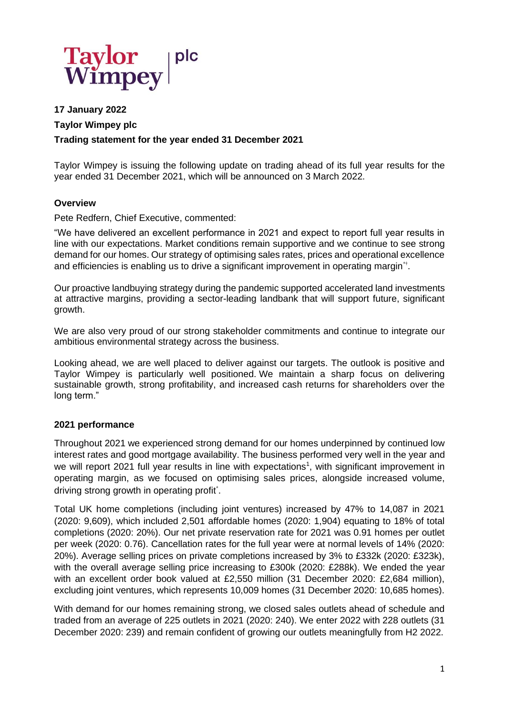

# **17 January 2022 Taylor Wimpey plc Trading statement for the year ended 31 December 2021**

Taylor Wimpey is issuing the following update on trading ahead of its full year results for the year ended 31 December 2021, which will be announced on 3 March 2022.

### **Overview**

Pete Redfern, Chief Executive, commented:

"We have delivered an excellent performance in 2021 and expect to report full year results in line with our expectations. Market conditions remain supportive and we continue to see strong demand for our homes. Our strategy of optimising sales rates, prices and operational excellence and efficiencies is enabling us to drive a significant improvement in operating margin\*<sup>+</sup>.

Our proactive landbuying strategy during the pandemic supported accelerated land investments at attractive margins, providing a sector-leading landbank that will support future, significant growth.

We are also very proud of our strong stakeholder commitments and continue to integrate our ambitious environmental strategy across the business.

Looking ahead, we are well placed to deliver against our targets. The outlook is positive and Taylor Wimpey is particularly well positioned. We maintain a sharp focus on delivering sustainable growth, strong profitability, and increased cash returns for shareholders over the long term."

#### **2021 performance**

Throughout 2021 we experienced strong demand for our homes underpinned by continued low interest rates and good mortgage availability. The business performed very well in the year and we will report 2021 full year results in line with expectations<sup>1</sup>, with significant improvement in operating margin, as we focused on optimising sales prices, alongside increased volume, driving strong growth in operating profit\*.

Total UK home completions (including joint ventures) increased by 47% to 14,087 in 2021 (2020: 9,609), which included 2,501 affordable homes (2020: 1,904) equating to 18% of total completions (2020: 20%). Our net private reservation rate for 2021 was 0.91 homes per outlet per week (2020: 0.76). Cancellation rates for the full year were at normal levels of 14% (2020: 20%). Average selling prices on private completions increased by 3% to £332k (2020: £323k), with the overall average selling price increasing to £300k (2020: £288k). We ended the year with an excellent order book valued at £2,550 million (31 December 2020: £2,684 million), excluding joint ventures, which represents 10,009 homes (31 December 2020: 10,685 homes).

With demand for our homes remaining strong, we closed sales outlets ahead of schedule and traded from an average of 225 outlets in 2021 (2020: 240). We enter 2022 with 228 outlets (31 December 2020: 239) and remain confident of growing our outlets meaningfully from H2 2022.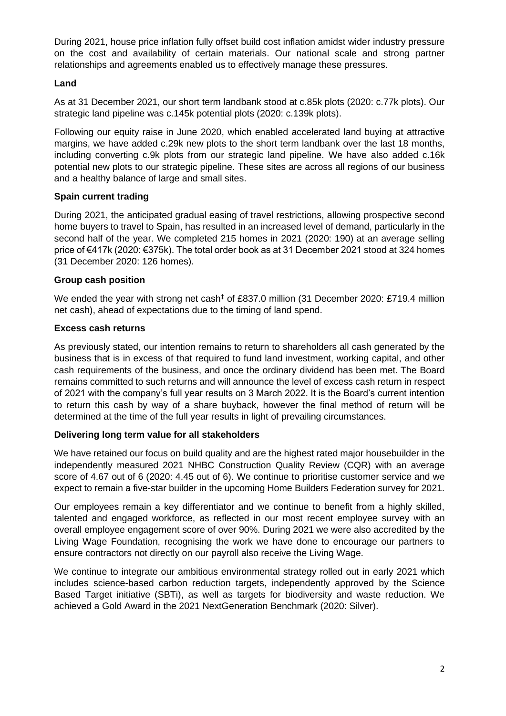During 2021, house price inflation fully offset build cost inflation amidst wider industry pressure on the cost and availability of certain materials. Our national scale and strong partner relationships and agreements enabled us to effectively manage these pressures.

### **Land**

As at 31 December 2021, our short term landbank stood at c.85k plots (2020: c.77k plots). Our strategic land pipeline was c.145k potential plots (2020: c.139k plots).

Following our equity raise in June 2020, which enabled accelerated land buying at attractive margins, we have added c.29k new plots to the short term landbank over the last 18 months, including converting c.9k plots from our strategic land pipeline. We have also added c.16k potential new plots to our strategic pipeline. These sites are across all regions of our business and a healthy balance of large and small sites.

# **Spain current trading**

During 2021, the anticipated gradual easing of travel restrictions, allowing prospective second home buyers to travel to Spain, has resulted in an increased level of demand, particularly in the second half of the year. We completed 215 homes in 2021 (2020: 190) at an average selling price of €417k (2020: €375k). The total order book as at 31 December 2021 stood at 324 homes (31 December 2020: 126 homes).

### **Group cash position**

We ended the year with strong net cash<sup>‡</sup> of £837.0 million (31 December 2020: £719.4 million net cash), ahead of expectations due to the timing of land spend.

### **Excess cash returns**

As previously stated, our intention remains to return to shareholders all cash generated by the business that is in excess of that required to fund land investment, working capital, and other cash requirements of the business, and once the ordinary dividend has been met. The Board remains committed to such returns and will announce the level of excess cash return in respect of 2021 with the company's full year results on 3 March 2022. It is the Board's current intention to return this cash by way of a share buyback, however the final method of return will be determined at the time of the full year results in light of prevailing circumstances.

# **Delivering long term value for all stakeholders**

We have retained our focus on build quality and are the highest rated major housebuilder in the independently measured 2021 NHBC Construction Quality Review (CQR) with an average score of 4.67 out of 6 (2020: 4.45 out of 6). We continue to prioritise customer service and we expect to remain a five-star builder in the upcoming Home Builders Federation survey for 2021.

Our employees remain a key differentiator and we continue to benefit from a highly skilled, talented and engaged workforce, as reflected in our most recent employee survey with an overall employee engagement score of over 90%. During 2021 we were also accredited by the Living Wage Foundation, recognising the work we have done to encourage our partners to ensure contractors not directly on our payroll also receive the Living Wage.

We continue to integrate our ambitious environmental strategy rolled out in early 2021 which includes science-based carbon reduction targets, independently approved by the Science Based Target initiative (SBTi), as well as targets for biodiversity and waste reduction. We achieved a Gold Award in the 2021 NextGeneration Benchmark (2020: Silver).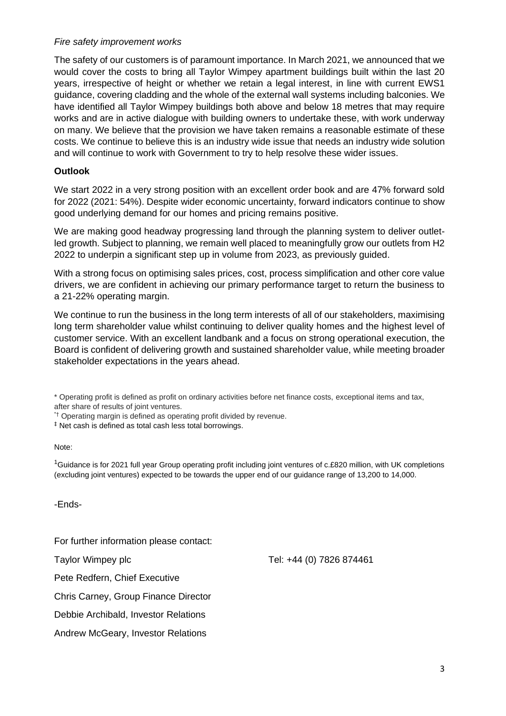#### *Fire safety improvement works*

The safety of our customers is of paramount importance. In March 2021, we announced that we would cover the costs to bring all Taylor Wimpey apartment buildings built within the last 20 years, irrespective of height or whether we retain a legal interest, in line with current EWS1 guidance, covering cladding and the whole of the external wall systems including balconies. We have identified all Taylor Wimpey buildings both above and below 18 metres that may require works and are in active dialogue with building owners to undertake these, with work underway on many. We believe that the provision we have taken remains a reasonable estimate of these costs. We continue to believe this is an industry wide issue that needs an industry wide solution and will continue to work with Government to try to help resolve these wider issues.

### **Outlook**

We start 2022 in a very strong position with an excellent order book and are 47% forward sold for 2022 (2021: 54%). Despite wider economic uncertainty, forward indicators continue to show good underlying demand for our homes and pricing remains positive.

We are making good headway progressing land through the planning system to deliver outletled growth. Subject to planning, we remain well placed to meaningfully grow our outlets from H2 2022 to underpin a significant step up in volume from 2023, as previously guided.

With a strong focus on optimising sales prices, cost, process simplification and other core value drivers, we are confident in achieving our primary performance target to return the business to a 21-22% operating margin.

We continue to run the business in the long term interests of all of our stakeholders, maximising long term shareholder value whilst continuing to deliver quality homes and the highest level of customer service. With an excellent landbank and a focus on strong operational execution, the Board is confident of delivering growth and sustained shareholder value, while meeting broader stakeholder expectations in the years ahead.

\* Operating profit is defined as profit on ordinary activities before net finance costs, exceptional items and tax, after share of results of joint ventures.

\*† Operating margin is defined as operating profit divided by revenue.

‡ Net cash is defined as total cash less total borrowings.

#### Note:

 $1$ Guidance is for 2021 full year Group operating profit including joint ventures of c.£820 million, with UK completions (excluding joint ventures) expected to be towards the upper end of our guidance range of 13,200 to 14,000.

-Ends-

For further information please contact:

Pete Redfern, Chief Executive

Chris Carney, Group Finance Director

Debbie Archibald, Investor Relations

Andrew McGeary, Investor Relations

Taylor Wimpey plc Tel: +44 (0) 7826 874461